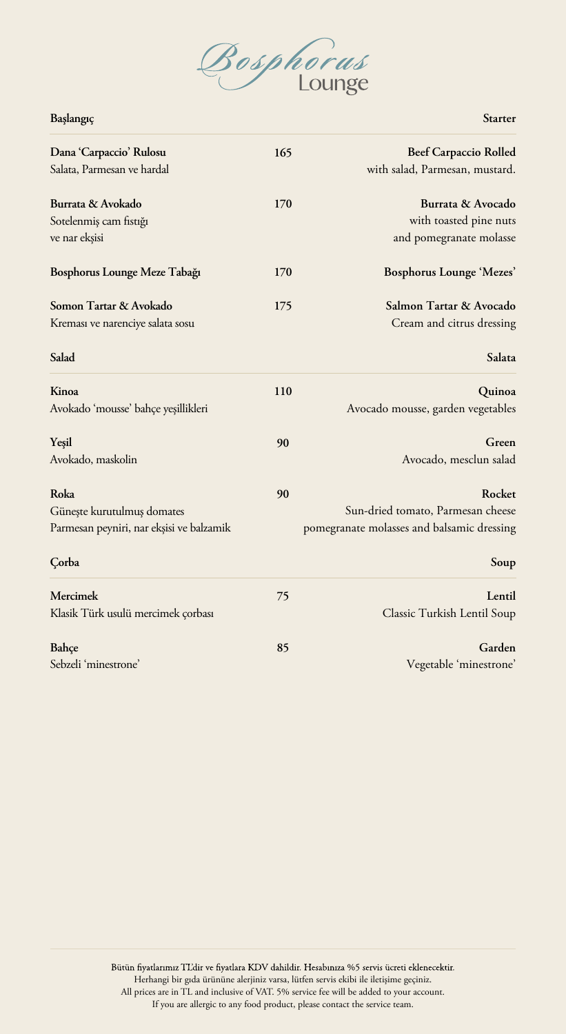

**Başlangıç**

| 165 | <b>Beef Carpaccio Rolled</b>               |
|-----|--------------------------------------------|
|     | with salad, Parmesan, mustard.             |
| 170 | Burrata & Avocado                          |
|     | with toasted pine nuts                     |
|     | and pomegranate molasse                    |
| 170 | Bosphorus Lounge 'Mezes'                   |
| 175 | Salmon Tartar & Avocado                    |
|     | Cream and citrus dressing                  |
|     | Salata                                     |
| 110 | Quinoa                                     |
|     | Avocado mousse, garden vegetables          |
| 90  | Green                                      |
|     | Avocado, mesclun salad                     |
| 90  | Rocket                                     |
|     | Sun-dried tomato, Parmesan cheese          |
|     | pomegranate molasses and balsamic dressing |
|     | Soup                                       |
| 75  | Lentil                                     |
|     | Classic Turkish Lentil Soup                |
| 85  | Garden                                     |
|     | Vegetable 'minestrone'                     |
|     |                                            |

**Starter**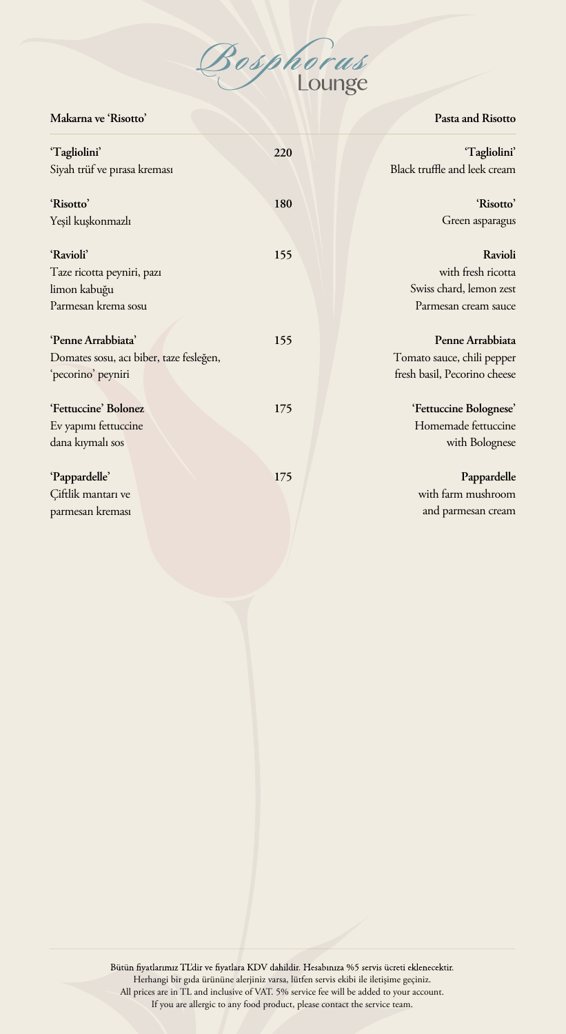

**Makarna ve 'Risotto'**

**Pasta and Risotto**

| 'Tagliolini'                            | 220 | 'Tagliolini'                 |
|-----------------------------------------|-----|------------------------------|
| Siyah trüf ve pırasa kreması            |     | Black truffle and leek cream |
| 'Risotto'                               | 180 | 'Risotto'                    |
| Yeşil kuşkonmazlı                       |     | Green asparagus              |
| 'Ravioli'                               | 155 | Ravioli                      |
| Taze ricotta peyniri, pazı              |     | with fresh ricotta           |
| limon kabuğu                            |     | Swiss chard, lemon zest      |
| Parmesan krema sosu                     |     | Parmesan cream sauce         |
|                                         |     |                              |
| 'Penne Arrabbiata'                      | 155 | Penne Arrabbiata             |
| Domates sosu, acı biber, taze fesleğen, |     | Tomato sauce, chili pepper   |
| 'pecorino' peyniri                      |     | fresh basil, Pecorino cheese |
|                                         |     |                              |
| 'Fettuccine' Bolonez                    | 175 | 'Fettuccine Bolognese'       |
| Ev yapımı fettuccine                    |     | Homemade fettuccine          |
| dana kıymalı sos                        |     | with Bolognese               |
|                                         |     |                              |
| 'Pappardelle'                           | 175 | Pappardelle                  |
| Çiftlik mantarı ve                      |     | with farm mushroom           |
| parmesan kreması                        |     | and parmesan cream           |
|                                         |     |                              |

Bütün fiyatlarımız TL'dir ve fiyatlara KDV dahildir. Hesabınıza %5 servis ücreti eklenecektir. Herhangi bir gıda ürününe alerjiniz varsa, lütfen servis ek Herhangi bir gıda ürününe alerjiniz varsa, lütfen servis ekibi ile iletişime geçiniz. All prices are in TL and inclusive of VAT. 5% service fee will be All prices are in TL and inclusive of VAT. 5% service fee will be added to your account. If you are allergic to any food product, please contact the service team. If you are allergic to any food product, please contact the service team.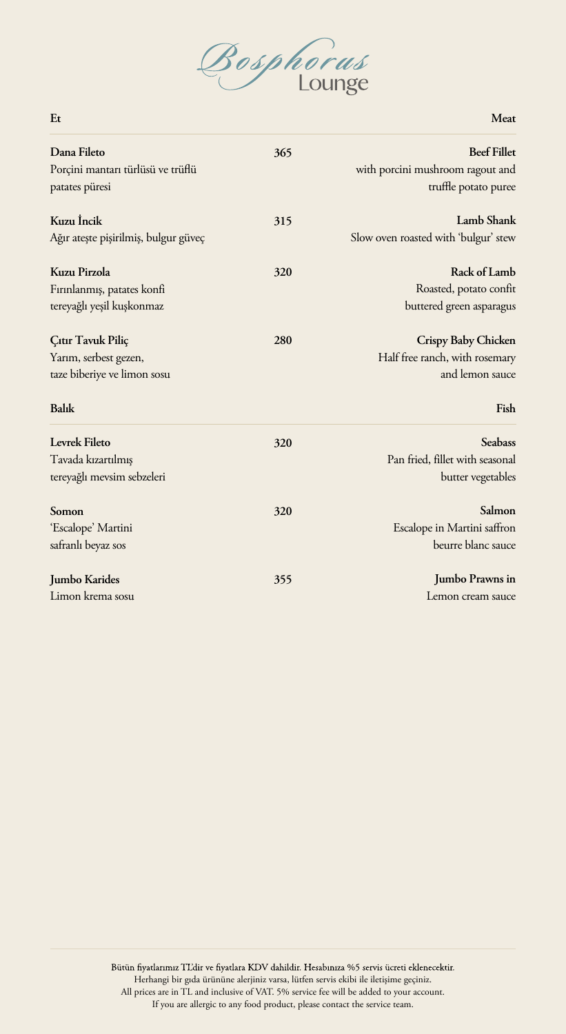

**Meat**

| Dana Fileto<br>Porçini mantarı türlüsü ve trüflü<br>patates püresi                 | 365 | <b>Beef Fillet</b><br>with porcini mushroom ragout and<br>truffle potato puree   |
|------------------------------------------------------------------------------------|-----|----------------------------------------------------------------------------------|
| Kuzu Incik<br>Ağır ateşte pişirilmiş, bulgur güveç                                 | 315 | Lamb Shank<br>Slow oven roasted with 'bulgur' stew                               |
| Kuzu Pirzola<br>Fırınlanmış, patates konfi<br>tereyağlı yeşil kuşkonmaz            | 320 | Rack of Lamb<br>Roasted, potato confit<br>buttered green asparagus               |
| Çıtır Tavuk Piliç<br>Yarım, serbest gezen,<br>taze biberiye ve limon sosu<br>Balık | 280 | Crispy Baby Chicken<br>Half free ranch, with rosemary<br>and lemon sauce<br>Fish |
| Levrek Fileto<br>Tavada kızartılmış<br>tereyağlı mevsim sebzeleri                  | 320 | <b>Seabass</b><br>Pan fried, fillet with seasonal<br>butter vegetables           |
| Somon<br>'Escalope' Martini<br>safranlı beyaz sos                                  | 320 | Salmon<br>Escalope in Martini saffron<br>beurre blanc sauce                      |
| Jumbo Karides<br>Limon krema sosu                                                  | 355 | Jumbo Prawns in<br>Lemon cream sauce                                             |

Bütün fiyatlarımız TL'dir ve fiyatlara KDV dahildir. Hesabınıza %5 servis ücreti eklenecektir. Herhangi bir gıda ürününe alerjiniz varsa, lütfen servis ekibi ile iletişime geçiniz. hüne alerjiniz varsa, lütfen servis ekibi ile iletişime geçiniz. All prices are in TL and inclusive of VAT. 5% service fee will be added to your account. d inclusive of VAT. 5% service fee will be added to your account. If you are allergic to any food product, please contact the service team. If you are allergic to any food product, please contact the service team.

## **Et**